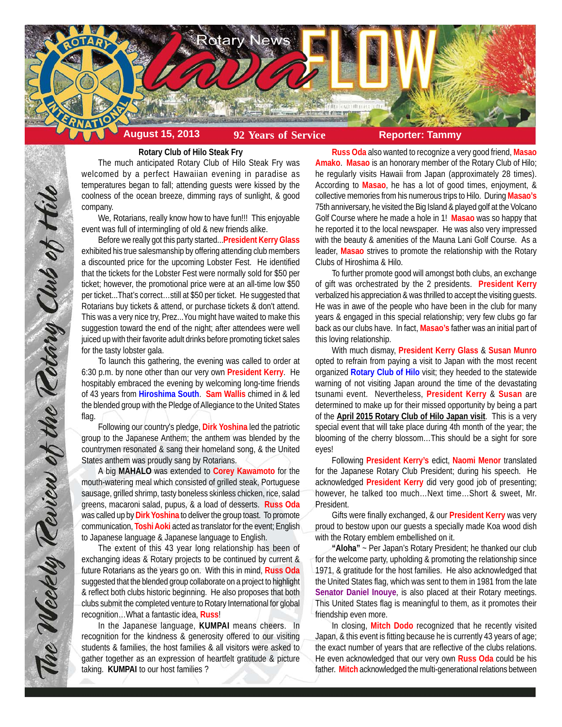

# **Rotary Club of Hilo Steak Fry**

The much anticipated Rotary Club of Hilo Steak Fry was welcomed by a perfect Hawaiian evening in paradise as temperatures began to fall; attending guests were kissed by the coolness of the ocean breeze, dimming rays of sunlight, & good company.

We, Rotarians, really know how to have fun!!! This enjoyable event was full of intermingling of old & new friends alike.

Before we really got this party started...**President Kerry Glass** exhibited his true salesmanship by offering attending club members a discounted price for the upcoming Lobster Fest. He identified that the tickets for the Lobster Fest were normally sold for \$50 per ticket; however, the promotional price were at an all-time low \$50 per ticket...That's correct…still at \$50 per ticket. He suggested that Rotarians buy tickets & attend, or purchase tickets & don't attend. This was a very nice try, Prez...You might have waited to make this suggestion toward the end of the night; after attendees were well juiced up with their favorite adult drinks before promoting ticket sales for the tasty lobster gala.

To launch this gathering, the evening was called to order at 6:30 p.m. by none other than our very own **President Kerry**. He hospitably embraced the evening by welcoming long-time friends of 43 years from **Hiroshima South**. **Sam Wallis** chimed in & led the blended group with the Pledge of Allegiance to the United States flag.

Following our country's pledge, **Dirk Yoshina** led the patriotic group to the Japanese Anthem; the anthem was blended by the countrymen resonated & sang their homeland song, & the United States anthem was proudly sang by Rotarians.

A big **MAHALO** was extended to **Corey Kawamoto** for the mouth-watering meal which consisted of grilled steak, Portuguese sausage, grilled shrimp, tasty boneless skinless chicken, rice, salad greens, macaroni salad, pupus, & a load of desserts. **Russ Oda** was called up by **Dirk Yoshina** to deliver the group toast. To promote communication, **Toshi Aoki** acted as translator for the event; English to Japanese language & Japanese language to English.

The extent of this 43 year long relationship has been of exchanging ideas & Rotary projects to be continued by current & future Rotarians as the years go on. With this in mind, **Russ Oda** suggested that the blended group collaborate on a project to highlight & reflect both clubs historic beginning. He also proposes that both clubs submit the completed venture to Rotary International for global recognition…What a fantastic idea, **Russ**!

In the Japanese language, **KUMPAI** means cheers. In recognition for the kindness & generosity offered to our visiting students & families, the host families & all visitors were asked to gather together as an expression of heartfelt gratitude & picture taking. **KUMPAI** to our host families ?

**Russ Oda** also wanted to recognize a very good friend, **Masao Amako**. **Masao** is an honorary member of the Rotary Club of Hilo; he regularly visits Hawaii from Japan (approximately 28 times). According to **Masao**, he has a lot of good times, enjoyment, & collective memories from his numerous trips to Hilo. During **Masao's** 75th anniversary, he visited the Big Island & played golf at the Volcano Golf Course where he made a hole in 1! **Masao** was so happy that he reported it to the local newspaper. He was also very impressed with the beauty & amenities of the Mauna Lani Golf Course. As a leader, **Masao** strives to promote the relationship with the Rotary Clubs of Hiroshima & Hilo.

To further promote good will amongst both clubs, an exchange of gift was orchestrated by the 2 presidents. **President Kerry** verbalized his appreciation & was thrilled to accept the visiting guests. He was in awe of the people who have been in the club for many years & engaged in this special relationship; very few clubs go far back as our clubs have. In fact, **Masao's** father was an initial part of this loving relationship.

With much dismay, **President Kerry Glass** & **Susan Munro** opted to refrain from paying a visit to Japan with the most recent organized **Rotary Club of Hilo** visit; they heeded to the statewide warning of not visiting Japan around the time of the devastating tsunami event. Nevertheless, **President Kerry** & **Susan** are determined to make up for their missed opportunity by being a part of the **April 2015 Rotary Club of Hilo Japan visit**. This is a very special event that will take place during 4th month of the year; the blooming of the cherry blossom…This should be a sight for sore eyes!

Following **President Kerry's** edict, **Naomi Menor** translated for the Japanese Rotary Club President; during his speech. He acknowledged **President Kerry** did very good job of presenting; however, he talked too much…Next time…Short & sweet, Mr. President.

Gifts were finally exchanged, & our **President Kerry** was very proud to bestow upon our guests a specially made Koa wood dish with the Rotary emblem embellished on it.

**"Aloha"** ~ Per Japan's Rotary President; he thanked our club for the welcome party, upholding & promoting the relationship since 1971, & gratitude for the host families. He also acknowledged that the United States flag, which was sent to them in 1981 from the late **Senator Daniel Inouye**, is also placed at their Rotary meetings. This United States flag is meaningful to them, as it promotes their friendship even more.

In closing, **Mitch Dodo** recognized that he recently visited Japan, & this event is fitting because he is currently 43 years of age; the exact number of years that are reflective of the clubs relations. He even acknowledged that our very own **Russ Oda** could be his father. **Mitch** acknowledged the multi-generational relations between